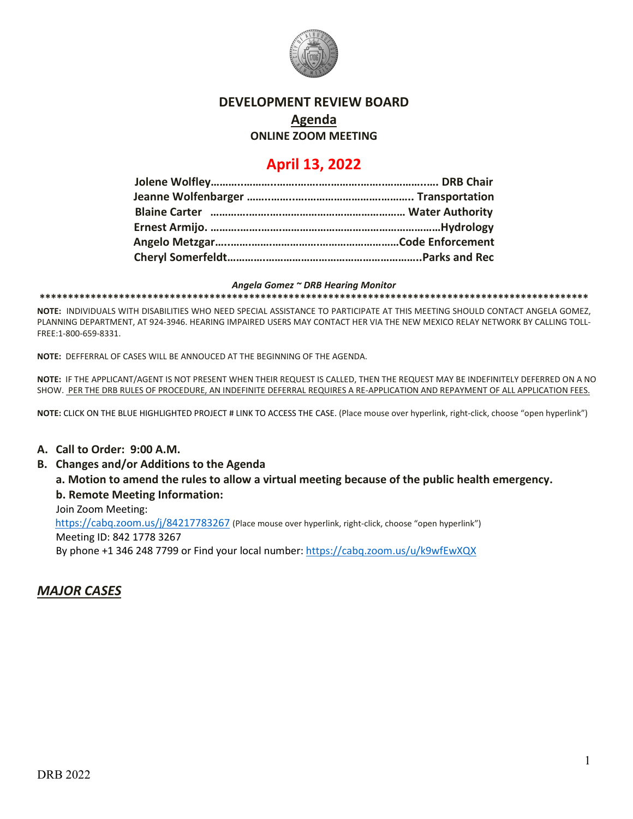

## **DEVELOPMENT REVIEW BOARD**

### **Agenda**

**ONLINE ZOOM MEETING**

# **April 13, 2022**

#### *Angela Gomez ~ DRB Hearing Monitor*

**\*\*\*\*\*\*\*\*\*\*\*\*\*\*\*\*\*\*\*\*\*\*\*\*\*\*\*\*\*\*\*\*\*\*\*\*\*\*\*\*\*\*\*\*\*\*\*\*\*\*\*\*\*\*\*\*\*\*\*\*\*\*\*\*\*\*\*\*\*\*\*\*\*\*\*\*\*\*\*\*\*\*\*\*\*\*\*\*\*\*\*\*\*\*\*\*\***

**NOTE:** INDIVIDUALS WITH DISABILITIES WHO NEED SPECIAL ASSISTANCE TO PARTICIPATE AT THIS MEETING SHOULD CONTACT ANGELA GOMEZ, PLANNING DEPARTMENT, AT 924-3946. HEARING IMPAIRED USERS MAY CONTACT HER VIA THE NEW MEXICO RELAY NETWORK BY CALLING TOLL-FREE:1-800-659-8331.

**NOTE:** DEFFERRAL OF CASES WILL BE ANNOUCED AT THE BEGINNING OF THE AGENDA.

**NOTE:** IF THE APPLICANT/AGENT IS NOT PRESENT WHEN THEIR REQUEST IS CALLED, THEN THE REQUEST MAY BE INDEFINITELY DEFERRED ON A NO SHOW. PER THE DRB RULES OF PROCEDURE, AN INDEFINITE DEFERRAL REQUIRES A RE-APPLICATION AND REPAYMENT OF ALL APPLICATION FEES.

**NOTE:** CLICK ON THE BLUE HIGHLIGHTED PROJECT # LINK TO ACCESS THE CASE. (Place mouse over hyperlink, right-click, choose "open hyperlink")

#### **A. Call to Order: 9:00 A.M.**

#### **B. Changes and/or Additions to the Agenda**

**a. Motion to amend the rules to allow a virtual meeting because of the public health emergency. b. Remote Meeting Information:** 

# Join Zoom Meeting:

 <https://cabq.zoom.us/j/84217783267> (Place mouse over hyperlink, right-click, choose "open hyperlink") Meeting ID: 842 1778 3267 By phone +1 346 248 7799 or Find your local number:<https://cabq.zoom.us/u/k9wfEwXQX>

### *MAJOR CASES*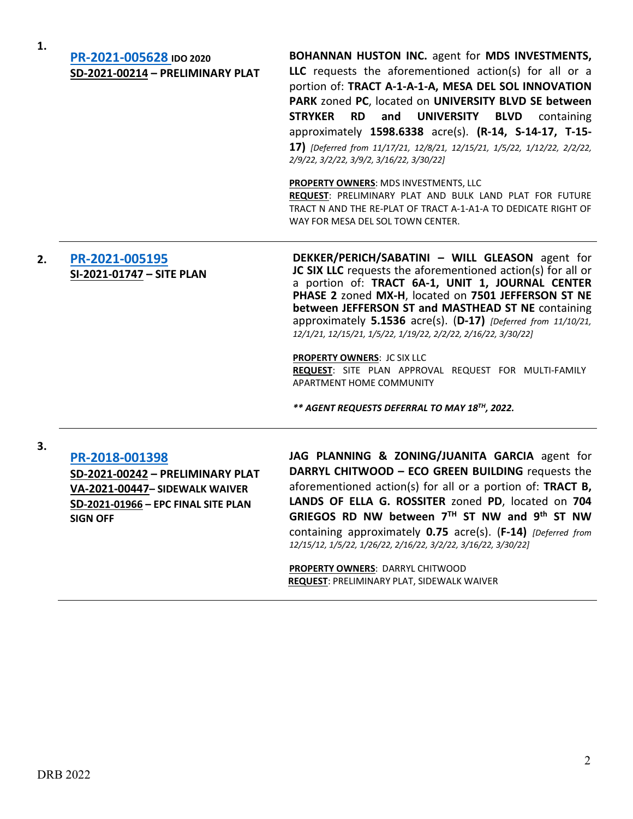**1.**

## **[PR-2021-005628](http://data.cabq.gov/government/planning/DRB/PR-2021-005628/DRB%20Submittals/) IDO 2020 SD-2021-00214 – PRELIMINARY PLAT**

**BOHANNAN HUSTON INC.** agent for **MDS INVESTMENTS, LLC** requests the aforementioned action(s) for all or a portion of: **TRACT A-1-A-1-A, MESA DEL SOL INNOVATION PARK** zoned **PC**, located on **UNIVERSITY BLVD SE between STRYKER RD and UNIVERSITY BLVD** containing approximately **1598.6338** acre(s). **(R-14, S-14-17, T-15- 17)** *[Deferred from 11/17/21, 12/8/21, 12/15/21, 1/5/22, 1/12/22, 2/2/22, 2/9/22, 3/2/22, 3/9/2, 3/16/22, 3/30/22]*

**PROPERTY OWNERS**: MDS INVESTMENTS, LLC

**REQUEST**: PRELIMINARY PLAT AND BULK LAND PLAT FOR FUTURE TRACT N AND THE RE-PLAT OF TRACT A-1-A1-A TO DEDICATE RIGHT OF WAY FOR MESA DEL SOL TOWN CENTER.

## **2. [PR-2021-005195](http://data.cabq.gov/government/planning/DRB/PR-2021-005195/DRB%20Submittals/) SI-2021-01747 – SITE PLAN**

**DEKKER/PERICH/SABATINI – WILL GLEASON** agent for **JC SIX LLC** requests the aforementioned action(s) for all or a portion of: **TRACT 6A-1, UNIT 1, JOURNAL CENTER PHASE 2** zoned **MX-H**, located on **7501 JEFFERSON ST NE between JEFFERSON ST and MASTHEAD ST NE** containing approximately **5.1536** acre(s). (**D-17)** *[Deferred from 11/10/21, 12/1/21, 12/15/21, 1/5/22, 1/19/22, 2/2/22, 2/16/22, 3/30/22]*

**PROPERTY OWNERS**: JC SIX LLC **REQUEST**: SITE PLAN APPROVAL REQUEST FOR MULTI-FAMILY APARTMENT HOME COMMUNITY

*\*\* AGENT REQUESTS DEFERRAL TO MAY 18TH, 2022.*

#### **3.**

### **[PR-2018-001398](http://data.cabq.gov/government/planning/DRB/PR-2018-001398/DRB%20Submittals/)**

**SD-2021-00242 – PRELIMINARY PLAT VA-2021-00447– SIDEWALK WAIVER SD-2021-01966 – EPC FINAL SITE PLAN SIGN OFF**

**JAG PLANNING & ZONING/JUANITA GARCIA** agent for **DARRYL CHITWOOD – ECO GREEN BUILDING** requests the aforementioned action(s) for all or a portion of: **TRACT B, LANDS OF ELLA G. ROSSITER** zoned **PD**, located on **704 GRIEGOS RD NW between 7TH ST NW and 9th ST NW** containing approximately **0.75** acre(s). (**F-14)** *[Deferred from 12/15/12, 1/5/22, 1/26/22, 2/16/22, 3/2/22, 3/16/22, 3/30/22]*

**PROPERTY OWNERS**: DARRYL CHITWOOD **REQUEST**: PRELIMINARY PLAT, SIDEWALK WAIVER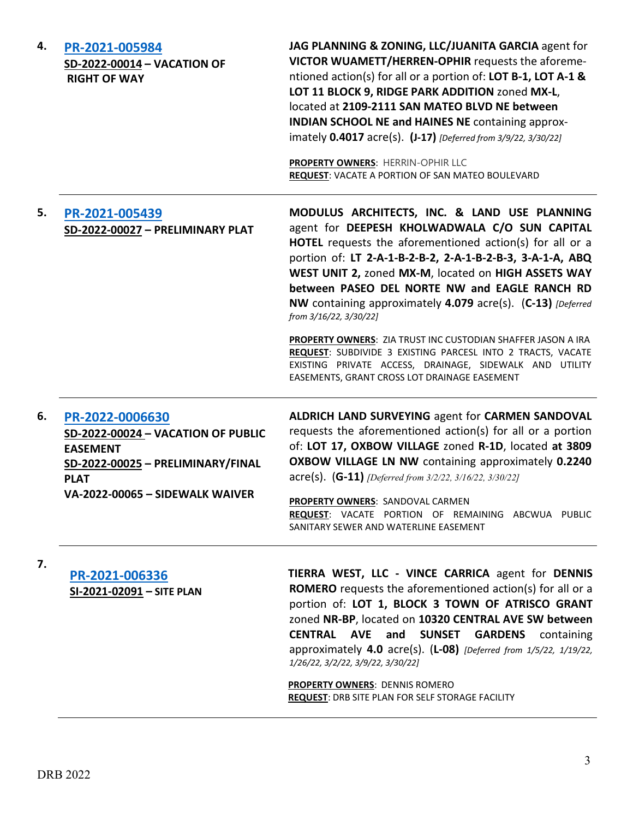| 4. | PR-2021-005984<br>SD-2022-00014 - VACATION OF<br><b>RIGHT OF WAY</b>                                                                                            | JAG PLANNING & ZONING, LLC/JUANITA GARCIA agent for<br>VICTOR WUAMETT/HERREN-OPHIR requests the aforeme-<br>ntioned action(s) for all or a portion of: LOT B-1, LOT A-1 &<br>LOT 11 BLOCK 9, RIDGE PARK ADDITION zoned MX-L,<br>located at 2109-2111 SAN MATEO BLVD NE between<br><b>INDIAN SCHOOL NE and HAINES NE containing approx-</b><br>imately 0.4017 acre(s). (J-17) [Deferred from 3/9/22, 3/30/22]<br>PROPERTY OWNERS: HERRIN-OPHIR LLC<br>REQUEST: VACATE A PORTION OF SAN MATEO BOULEVARD                                                                                                                                                                    |
|----|-----------------------------------------------------------------------------------------------------------------------------------------------------------------|--------------------------------------------------------------------------------------------------------------------------------------------------------------------------------------------------------------------------------------------------------------------------------------------------------------------------------------------------------------------------------------------------------------------------------------------------------------------------------------------------------------------------------------------------------------------------------------------------------------------------------------------------------------------------|
| 5. | PR-2021-005439<br>SD-2022-00027 - PRELIMINARY PLAT                                                                                                              | MODULUS ARCHITECTS, INC. & LAND USE PLANNING<br>agent for DEEPESH KHOLWADWALA C/O SUN CAPITAL<br><b>HOTEL</b> requests the aforementioned action(s) for all or a<br>portion of: LT 2-A-1-B-2-B-2, 2-A-1-B-2-B-3, 3-A-1-A, ABQ<br>WEST UNIT 2, zoned MX-M, located on HIGH ASSETS WAY<br>between PASEO DEL NORTE NW and EAGLE RANCH RD<br>NW containing approximately 4.079 acre(s). (C-13) [Deferred<br>from 3/16/22, 3/30/22]<br>PROPERTY OWNERS: ZIA TRUST INC CUSTODIAN SHAFFER JASON A IRA<br>REQUEST: SUBDIVIDE 3 EXISTING PARCESL INTO 2 TRACTS, VACATE<br>EXISTING PRIVATE ACCESS, DRAINAGE, SIDEWALK AND UTILITY<br>EASEMENTS, GRANT CROSS LOT DRAINAGE EASEMENT |
| 6. | PR-2022-0006630<br>SD-2022-00024 - VACATION OF PUBLIC<br><b>EASEMENT</b><br>SD-2022-00025 - PRELIMINARY/FINAL<br><b>PLAT</b><br>VA-2022-00065 - SIDEWALK WAIVER | ALDRICH LAND SURVEYING agent for CARMEN SANDOVAL<br>requests the aforementioned action(s) for all or a portion<br>of: LOT 17, OXBOW VILLAGE zoned R-1D, located at 3809<br>OXBOW VILLAGE LN NW containing approximately 0.2240<br>$\text{acre(s)}.$ (G-11) [Deferred from 3/2/22, 3/16/22, 3/30/22]<br>PROPERTY OWNERS: SANDOVAL CARMEN<br>REQUEST: VACATE PORTION OF REMAINING ABCWUA PUBLIC<br>SANITARY SEWER AND WATERLINE EASEMENT                                                                                                                                                                                                                                   |
| 7. | PR-2021-006336<br>SI-2021-02091 - SITE PLAN                                                                                                                     | TIERRA WEST, LLC - VINCE CARRICA agent for DENNIS<br><b>ROMERO</b> requests the aforementioned action(s) for all or a<br>portion of: LOT 1, BLOCK 3 TOWN OF ATRISCO GRANT<br>zoned NR-BP, located on 10320 CENTRAL AVE SW between                                                                                                                                                                                                                                                                                                                                                                                                                                        |

**CENTRAL AVE and SUNSET GARDENS** containing approximately **4.0** acre(s). (**L-08)** *[Deferred from 1/5/22, 1/19/22, 1/26/22, 3/2/22, 3/9/22, 3/30/22]*

**PROPERTY OWNERS**: DENNIS ROMERO **REQUEST**: DRB SITE PLAN FOR SELF STORAGE FACILITY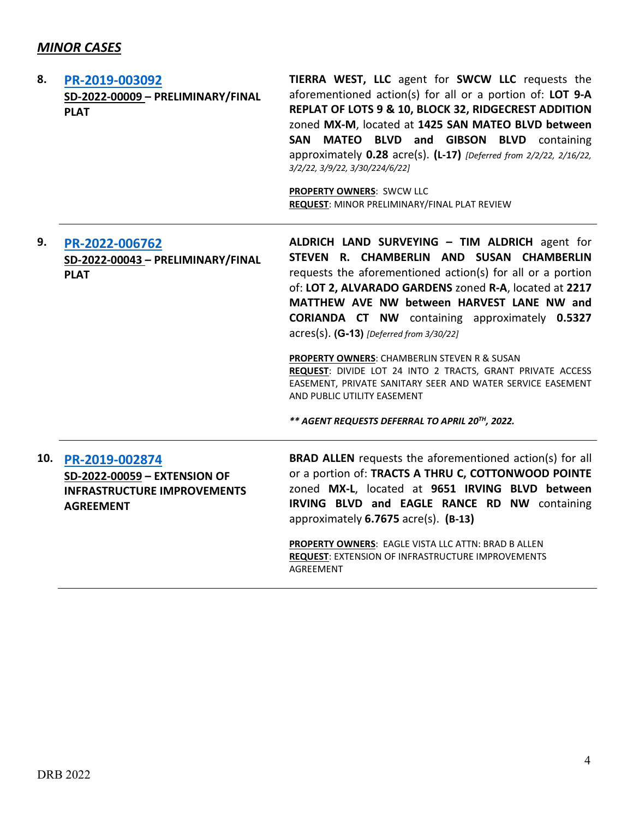# *MINOR CASES*

| 8. | PR-2019-003092<br>SD-2022-00009 - PRELIMINARY/FINAL<br><b>PLAT</b>                                           | TIERRA WEST, LLC agent for SWCW LLC requests the<br>aforementioned action(s) for all or a portion of: LOT 9-A<br>REPLAT OF LOTS 9 & 10, BLOCK 32, RIDGECREST ADDITION<br>zoned MX-M, located at 1425 SAN MATEO BLVD between<br>MATEO BLVD and GIBSON BLVD containing<br><b>SAN</b><br>approximately $0.28$ acre(s). (L-17) [Deferred from $2/2/22$ , $2/16/22$ ,<br>3/2/22, 3/9/22, 3/30/224/6/22]<br>PROPERTY OWNERS: SWCW LLC<br>REQUEST: MINOR PRELIMINARY/FINAL PLAT REVIEW                                                                                                                                                      |
|----|--------------------------------------------------------------------------------------------------------------|--------------------------------------------------------------------------------------------------------------------------------------------------------------------------------------------------------------------------------------------------------------------------------------------------------------------------------------------------------------------------------------------------------------------------------------------------------------------------------------------------------------------------------------------------------------------------------------------------------------------------------------|
| 9. | PR-2022-006762<br>SD-2022-00043 - PRELIMINARY/FINAL<br><b>PLAT</b>                                           | ALDRICH LAND SURVEYING - TIM ALDRICH agent for<br>STEVEN R. CHAMBERLIN AND SUSAN CHAMBERLIN<br>requests the aforementioned action(s) for all or a portion<br>of: LOT 2, ALVARADO GARDENS zoned R-A, located at 2217<br>MATTHEW AVE NW between HARVEST LANE NW and<br><b>CORIANDA CT NW</b> containing approximately 0.5327<br>acres(s). (G-13) [Deferred from 3/30/22]<br>PROPERTY OWNERS: CHAMBERLIN STEVEN R & SUSAN<br>REQUEST: DIVIDE LOT 24 INTO 2 TRACTS, GRANT PRIVATE ACCESS<br>EASEMENT, PRIVATE SANITARY SEER AND WATER SERVICE EASEMENT<br>AND PUBLIC UTILITY EASEMENT<br>** AGENT REQUESTS DEFERRAL TO APRIL 20TH, 2022. |
|    | 10. PR-2019-002874<br>SD-2022-00059 - EXTENSION OF<br><b>INFRASTRUCTURE IMPROVEMENTS</b><br><b>AGREEMENT</b> | <b>BRAD ALLEN</b> requests the aforementioned action(s) for all<br>or a portion of: TRACTS A THRU C, COTTONWOOD POINTE<br>zoned MX-L, located at 9651 IRVING BLVD between<br>IRVING BLVD and EAGLE RANCE RD NW containing<br>approximately 6.7675 acre(s). (B-13)<br>PROPERTY OWNERS: EAGLE VISTA LLC ATTN: BRAD B ALLEN<br>REQUEST: EXTENSION OF INFRASTRUCTURE IMPROVEMENTS<br>AGREEMENT                                                                                                                                                                                                                                           |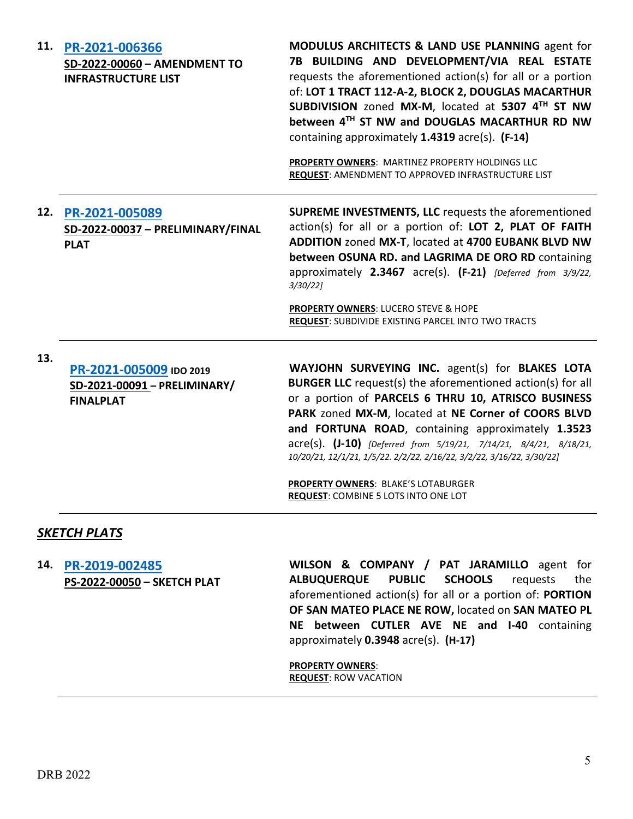|     | 11. PR-2021-006366<br>SD-2022-00060 - AMENDMENT TO<br><b>INFRASTRUCTURE LIST</b> | MODULUS ARCHITECTS & LAND USE PLANNING agent for<br>7B BUILDING AND DEVELOPMENT/VIA REAL ESTATE<br>requests the aforementioned action(s) for all or a portion<br>of: LOT 1 TRACT 112-A-2, BLOCK 2, DOUGLAS MACARTHUR<br>SUBDIVISION zoned MX-M, located at 5307 4TH ST NW<br>between 4TH ST NW and DOUGLAS MACARTHUR RD NW<br>containing approximately 1.4319 acre(s). (F-14)<br>PROPERTY OWNERS: MARTINEZ PROPERTY HOLDINGS LLC<br>REQUEST: AMENDMENT TO APPROVED INFRASTRUCTURE LIST                                      |
|-----|----------------------------------------------------------------------------------|-----------------------------------------------------------------------------------------------------------------------------------------------------------------------------------------------------------------------------------------------------------------------------------------------------------------------------------------------------------------------------------------------------------------------------------------------------------------------------------------------------------------------------|
|     | 12. PR-2021-005089<br>SD-2022-00037 - PRELIMINARY/FINAL<br><b>PLAT</b>           | <b>SUPREME INVESTMENTS, LLC</b> requests the aforementioned<br>action(s) for all or a portion of: LOT 2, PLAT OF FAITH<br>ADDITION zoned MX-T, located at 4700 EUBANK BLVD NW<br>between OSUNA RD. and LAGRIMA DE ORO RD containing<br>approximately 2.3467 acre(s). (F-21) [Deferred from 3/9/22,<br>$3/30/22$ ]<br>PROPERTY OWNERS: LUCERO STEVE & HOPE<br><b>REQUEST: SUBDIVIDE EXISTING PARCEL INTO TWO TRACTS</b>                                                                                                      |
| 13. | PR-2021-005009 IDO 2019<br>SD-2021-00091 - PRELIMINARY/<br><b>FINALPLAT</b>      | WAYJOHN SURVEYING INC. agent(s) for BLAKES LOTA<br><b>BURGER LLC</b> request(s) the aforementioned action(s) for all<br>or a portion of PARCELS 6 THRU 10, ATRISCO BUSINESS<br>PARK zoned MX-M, located at NE Corner of COORS BLVD<br>and FORTUNA ROAD, containing approximately 1.3523<br>acre(s). (J-10) [Deferred from 5/19/21, 7/14/21, 8/4/21, 8/18/21,<br>10/20/21, 12/1/21, 1/5/22. 2/2/22, 2/16/22, 3/2/22, 3/16/22, 3/30/22]<br>PROPERTY OWNERS: BLAKE'S LOTABURGER<br><b>REQUEST: COMBINE 5 LOTS INTO ONE LOT</b> |

### *SKETCH PLATS*

**14. [PR-2019-002485](http://data.cabq.gov/government/planning/DRB/PR-2019-002485/DRB%20Submittals/PR-2019-002485_April_13_2022%20(Sketch)/SK_PLT%20submittal%20ALL.pdf) PS-2022-00050 – SKETCH PLAT**

**WILSON & COMPANY / PAT JARAMILLO** agent for **ALBUQUERQUE PUBLIC SCHOOLS** requests the aforementioned action(s) for all or a portion of: **PORTION OF SAN MATEO PLACE NE ROW,** located on **SAN MATEO PL NE between CUTLER AVE NE and I-40** containing approximately **0.3948** acre(s). **(H-17)** 

**PROPERTY OWNERS**: **REQUEST**: ROW VACATION